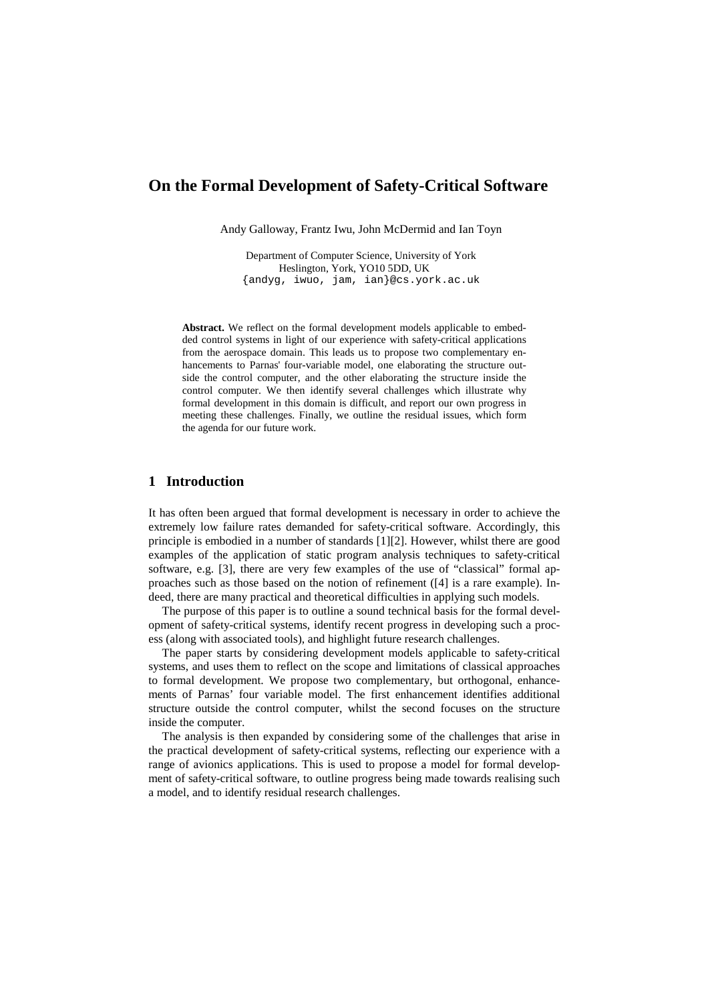# **On the Formal Development of Safety-Critical Software**

Andy Galloway, Frantz Iwu, John McDermid and Ian Toyn

Department of Computer Science, University of York Heslington, York, YO10 5DD, UK {andyg, iwuo, jam, ian}@cs.york.ac.uk

**Abstract.** We reflect on the formal development models applicable to embedded control systems in light of our experience with safety-critical applications from the aerospace domain. This leads us to propose two complementary enhancements to Parnas' four-variable model, one elaborating the structure outside the control computer, and the other elaborating the structure inside the control computer. We then identify several challenges which illustrate why formal development in this domain is difficult, and report our own progress in meeting these challenges. Finally, we outline the residual issues, which form the agenda for our future work.

# **1 Introduction**

It has often been argued that formal development is necessary in order to achieve the extremely low failure rates demanded for safety-critical software. Accordingly, this principle is embodied in a number of standards [1][2]. However, whilst there are good examples of the application of static program analysis techniques to safety-critical software, e.g. [3], there are very few examples of the use of "classical" formal approaches such as those based on the notion of refinement ([4] is a rare example). Indeed, there are many practical and theoretical difficulties in applying such models.

The purpose of this paper is to outline a sound technical basis for the formal development of safety-critical systems, identify recent progress in developing such a process (along with associated tools), and highlight future research challenges.

The paper starts by considering development models applicable to safety-critical systems, and uses them to reflect on the scope and limitations of classical approaches to formal development. We propose two complementary, but orthogonal, enhancements of Parnas' four variable model. The first enhancement identifies additional structure outside the control computer, whilst the second focuses on the structure inside the computer.

The analysis is then expanded by considering some of the challenges that arise in the practical development of safety-critical systems, reflecting our experience with a range of avionics applications. This is used to propose a model for formal development of safety-critical software, to outline progress being made towards realising such a model, and to identify residual research challenges.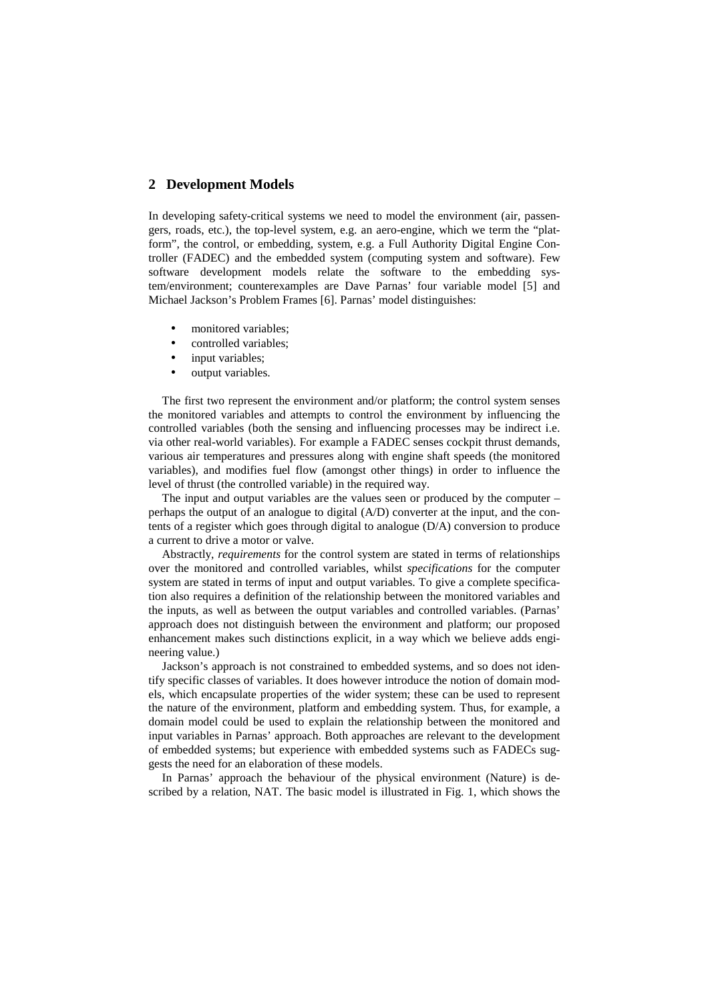#### **2 Development Models**

In developing safety-critical systems we need to model the environment (air, passengers, roads, etc.), the top-level system, e.g. an aero-engine, which we term the "platform", the control, or embedding, system, e.g. a Full Authority Digital Engine Controller (FADEC) and the embedded system (computing system and software). Few software development models relate the software to the embedding system/environment; counterexamples are Dave Parnas' four variable model [5] and Michael Jackson's Problem Frames [6]. Parnas' model distinguishes:

- monitored variables;
- controlled variables;
- input variables;
- output variables.

The first two represent the environment and/or platform; the control system senses the monitored variables and attempts to control the environment by influencing the controlled variables (both the sensing and influencing processes may be indirect i.e. via other real-world variables). For example a FADEC senses cockpit thrust demands, various air temperatures and pressures along with engine shaft speeds (the monitored variables), and modifies fuel flow (amongst other things) in order to influence the level of thrust (the controlled variable) in the required way.

The input and output variables are the values seen or produced by the computer – perhaps the output of an analogue to digital (A/D) converter at the input, and the contents of a register which goes through digital to analogue (D/A) conversion to produce a current to drive a motor or valve.

Abstractly, *requirements* for the control system are stated in terms of relationships over the monitored and controlled variables, whilst *specifications* for the computer system are stated in terms of input and output variables. To give a complete specification also requires a definition of the relationship between the monitored variables and the inputs, as well as between the output variables and controlled variables. (Parnas' approach does not distinguish between the environment and platform; our proposed enhancement makes such distinctions explicit, in a way which we believe adds engineering value.)

Jackson's approach is not constrained to embedded systems, and so does not identify specific classes of variables. It does however introduce the notion of domain models, which encapsulate properties of the wider system; these can be used to represent the nature of the environment, platform and embedding system. Thus, for example, a domain model could be used to explain the relationship between the monitored and input variables in Parnas' approach. Both approaches are relevant to the development of embedded systems; but experience with embedded systems such as FADECs suggests the need for an elaboration of these models.

In Parnas' approach the behaviour of the physical environment (Nature) is described by a relation, NAT. The basic model is illustrated in Fig. 1, which shows the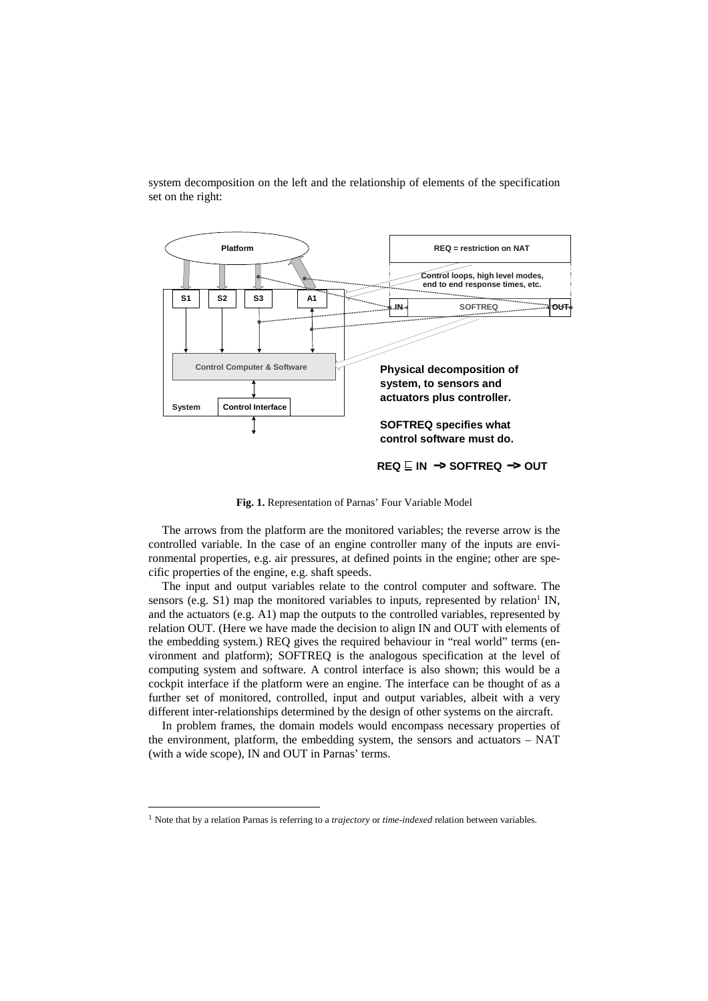



**Fig. 1.** Representation of Parnas' Four Variable Model

The arrows from the platform are the monitored variables; the reverse arrow is the controlled variable. In the case of an engine controller many of the inputs are environmental properties, e.g. air pressures, at defined points in the engine; other are specific properties of the engine, e.g. shaft speeds.

The input and output variables relate to the control computer and software. The sensors (e.g. S1) map the monitored variables to inputs, represented by relation<sup>1</sup> IN, and the actuators (e.g. A1) map the outputs to the controlled variables, represented by relation OUT. (Here we have made the decision to align IN and OUT with elements of the embedding system.) REQ gives the required behaviour in "real world" terms (environment and platform); SOFTREQ is the analogous specification at the level of computing system and software. A control interface is also shown; this would be a cockpit interface if the platform were an engine. The interface can be thought of as a further set of monitored, controlled, input and output variables, albeit with a very different inter-relationships determined by the design of other systems on the aircraft.

In problem frames, the domain models would encompass necessary properties of the environment, platform, the embedding system, the sensors and actuators – NAT (with a wide scope), IN and OUT in Parnas' terms.

<sup>&</sup>lt;sup>1</sup> Note that by a relation Parnas is referring to a *trajectory* or *time-indexed* relation between variables.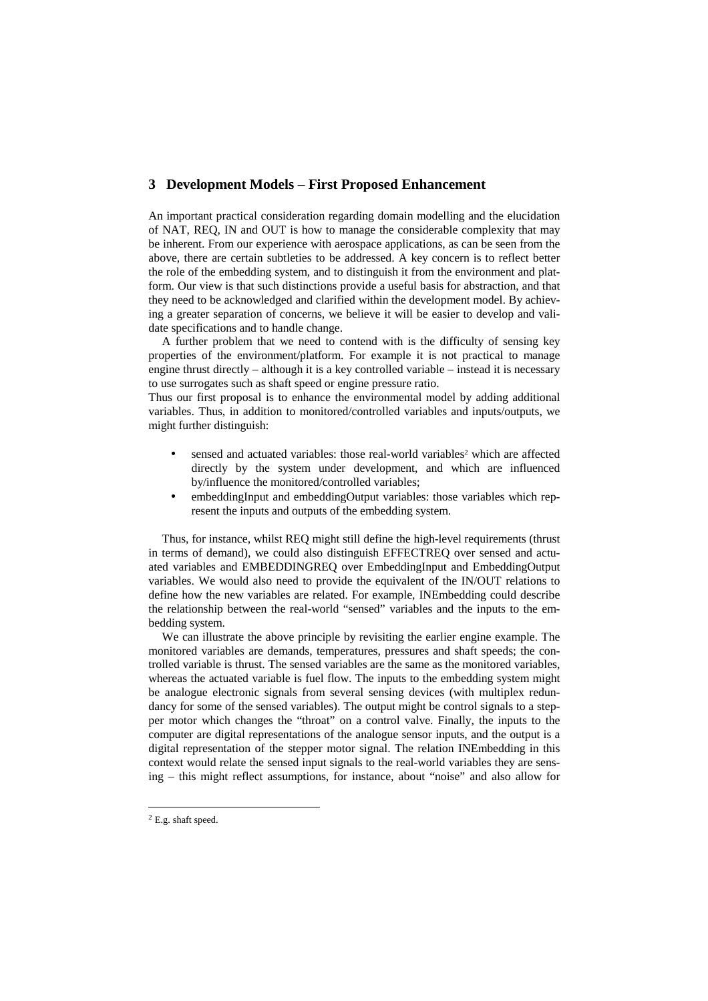#### **3 Development Models – First Proposed Enhancement**

An important practical consideration regarding domain modelling and the elucidation of NAT, REQ, IN and OUT is how to manage the considerable complexity that may be inherent. From our experience with aerospace applications, as can be seen from the above, there are certain subtleties to be addressed. A key concern is to reflect better the role of the embedding system, and to distinguish it from the environment and platform. Our view is that such distinctions provide a useful basis for abstraction, and that they need to be acknowledged and clarified within the development model. By achieving a greater separation of concerns, we believe it will be easier to develop and validate specifications and to handle change.

A further problem that we need to contend with is the difficulty of sensing key properties of the environment/platform. For example it is not practical to manage engine thrust directly – although it is a key controlled variable – instead it is necessary to use surrogates such as shaft speed or engine pressure ratio.

Thus our first proposal is to enhance the environmental model by adding additional variables. Thus, in addition to monitored/controlled variables and inputs/outputs, we might further distinguish:

- sensed and actuated variables: those real-world variables<sup>2</sup> which are affected directly by the system under development, and which are influenced by/influence the monitored/controlled variables;
- embeddingInput and embeddingOutput variables: those variables which represent the inputs and outputs of the embedding system.

Thus, for instance, whilst REQ might still define the high-level requirements (thrust in terms of demand), we could also distinguish EFFECTREQ over sensed and actuated variables and EMBEDDINGREQ over EmbeddingInput and EmbeddingOutput variables. We would also need to provide the equivalent of the IN/OUT relations to define how the new variables are related. For example, INEmbedding could describe the relationship between the real-world "sensed" variables and the inputs to the embedding system.

We can illustrate the above principle by revisiting the earlier engine example. The monitored variables are demands, temperatures, pressures and shaft speeds; the controlled variable is thrust. The sensed variables are the same as the monitored variables, whereas the actuated variable is fuel flow. The inputs to the embedding system might be analogue electronic signals from several sensing devices (with multiplex redundancy for some of the sensed variables). The output might be control signals to a stepper motor which changes the "throat" on a control valve. Finally, the inputs to the computer are digital representations of the analogue sensor inputs, and the output is a digital representation of the stepper motor signal. The relation INEmbedding in this context would relate the sensed input signals to the real-world variables they are sensing – this might reflect assumptions, for instance, about "noise" and also allow for

<sup>2</sup> E.g. shaft speed.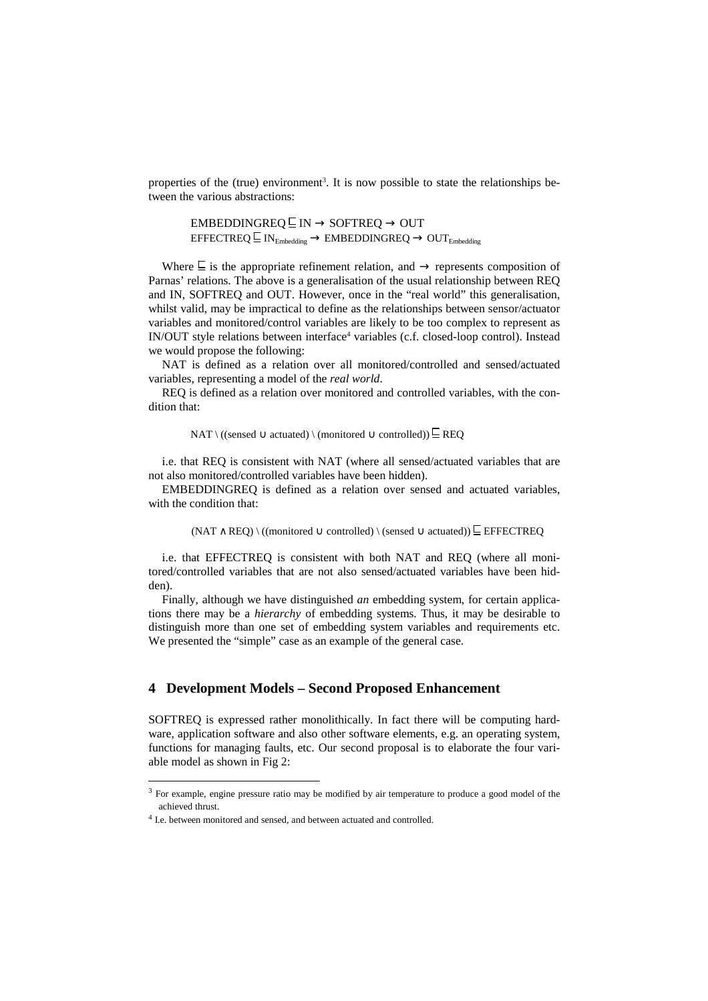properties of the (true) environment<sup>3</sup>. It is now possible to state the relationships between the various abstractions:

> $EMBEDDINGREO \subseteq IN \rightarrow SOFTREO \rightarrow OUT$  $EFFECTREQ \sqsubseteq IN_{Embedding} \rightarrow EMBEDDINGREQ \rightarrow OUT_{Embedding}$

Where  $\subseteq$  is the appropriate refinement relation, and  $\rightarrow$  represents composition of Parnas' relations. The above is a generalisation of the usual relationship between REQ and IN, SOFTREQ and OUT. However, once in the "real world" this generalisation, whilst valid, may be impractical to define as the relationships between sensor/actuator variables and monitored/control variables are likely to be too complex to represent as IN/OUT style relations between interface <sup>4</sup> variables (c.f. closed-loop control). Instead we would propose the following:

NAT is defined as a relation over all monitored/controlled and sensed/actuated variables, representing a model of the *real world*.

REQ is defined as a relation over monitored and controlled variables, with the condition that:

NAT \ ((sensed  $\cup$  actuated) \ (monitored  $\cup$  controlled))  $\sqsubseteq$  REO

i.e. that REQ is consistent with NAT (where all sensed/actuated variables that are not also monitored/controlled variables have been hidden).

EMBEDDINGREQ is defined as a relation over sensed and actuated variables, with the condition that:

(NAT ∧ REQ) \ ((monitored ∪ controlled) \ (sensed ∪ actuated))  $\subseteq$  EFFECTREQ

i.e. that EFFECTREQ is consistent with both NAT and REQ (where all monitored/controlled variables that are not also sensed/actuated variables have been hidden).

Finally, although we have distinguished *an* embedding system, for certain applications there may be a *hierarchy* of embedding systems. Thus, it may be desirable to distinguish more than one set of embedding system variables and requirements etc. We presented the "simple" case as an example of the general case.

### **4 Development Models – Second Proposed Enhancement**

SOFTREQ is expressed rather monolithically. In fact there will be computing hardware, application software and also other software elements, e.g. an operating system, functions for managing faults, etc. Our second proposal is to elaborate the four variable model as shown in Fig 2:

<sup>&</sup>lt;sup>3</sup> For example, engine pressure ratio may be modified by air temperature to produce a good model of the achieved thrust.

<sup>&</sup>lt;sup>4</sup> I.e. between monitored and sensed, and between actuated and controlled.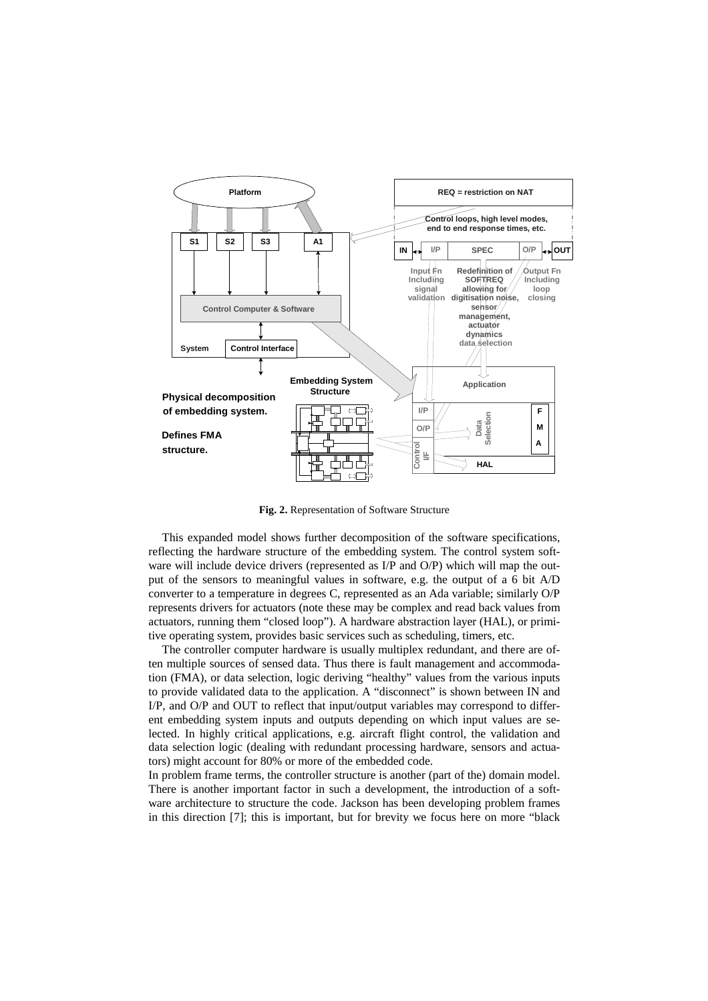

**Fig. 2.** Representation of Software Structure

This expanded model shows further decomposition of the software specifications, reflecting the hardware structure of the embedding system. The control system software will include device drivers (represented as I/P and O/P) which will map the output of the sensors to meaningful values in software, e.g. the output of a 6 bit A/D converter to a temperature in degrees C, represented as an Ada variable; similarly O/P represents drivers for actuators (note these may be complex and read back values from actuators, running them "closed loop"). A hardware abstraction layer (HAL), or primitive operating system, provides basic services such as scheduling, timers, etc.

The controller computer hardware is usually multiplex redundant, and there are often multiple sources of sensed data. Thus there is fault management and accommodation (FMA), or data selection, logic deriving "healthy" values from the various inputs to provide validated data to the application. A "disconnect" is shown between IN and I/P, and O/P and OUT to reflect that input/output variables may correspond to different embedding system inputs and outputs depending on which input values are selected. In highly critical applications, e.g. aircraft flight control, the validation and data selection logic (dealing with redundant processing hardware, sensors and actuators) might account for 80% or more of the embedded code.

In problem frame terms, the controller structure is another (part of the) domain model. There is another important factor in such a development, the introduction of a software architecture to structure the code. Jackson has been developing problem frames in this direction [7]; this is important, but for brevity we focus here on more "black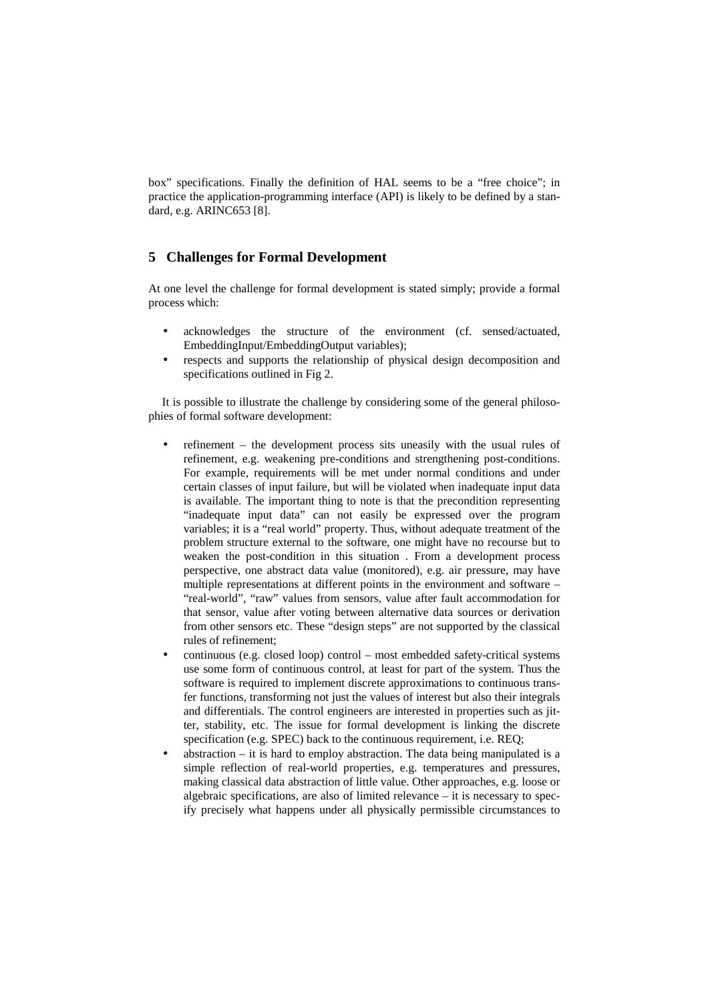box" specifications. Finally the definition of HAL seems to be a "free choice"; in practice the application-programming interface (API) is likely to be defined by a standard, e.g. ARINC653 [8].

### **5 Challenges for Formal Development**

At one level the challenge for formal development is stated simply; provide a formal process which:

- acknowledges the structure of the environment (cf. sensed/actuated, EmbeddingInput/EmbeddingOutput variables);
- respects and supports the relationship of physical design decomposition and specifications outlined in Fig 2.

It is possible to illustrate the challenge by considering some of the general philosophies of formal software development:

- refinement the development process sits uneasily with the usual rules of refinement, e.g. weakening pre-conditions and strengthening post-conditions. For example, requirements will be met under normal conditions and under certain classes of input failure, but will be violated when inadequate input data is available. The important thing to note is that the precondition representing "inadequate input data" can not easily be expressed over the program variables; it is a "real world" property. Thus, without adequate treatment of the problem structure external to the software, one might have no recourse but to weaken the post-condition in this situation . From a development process perspective, one abstract data value (monitored), e.g. air pressure, may have multiple representations at different points in the environment and software – "real-world", "raw" values from sensors, value after fault accommodation for that sensor, value after voting between alternative data sources or derivation from other sensors etc. These "design steps" are not supported by the classical rules of refinement;
- continuous (e.g. closed loop) control most embedded safety-critical systems use some form of continuous control, at least for part of the system. Thus the software is required to implement discrete approximations to continuous transfer functions, transforming not just the values of interest but also their integrals and differentials. The control engineers are interested in properties such as jitter, stability, etc. The issue for formal development is linking the discrete specification (e.g. SPEC) back to the continuous requirement, i.e. REQ;
- $a$ bstraction it is hard to employ abstraction. The data being manipulated is a simple reflection of real-world properties, e.g. temperatures and pressures, making classical data abstraction of little value. Other approaches, e.g. loose or algebraic specifications, are also of limited relevance – it is necessary to specify precisely what happens under all physically permissible circumstances to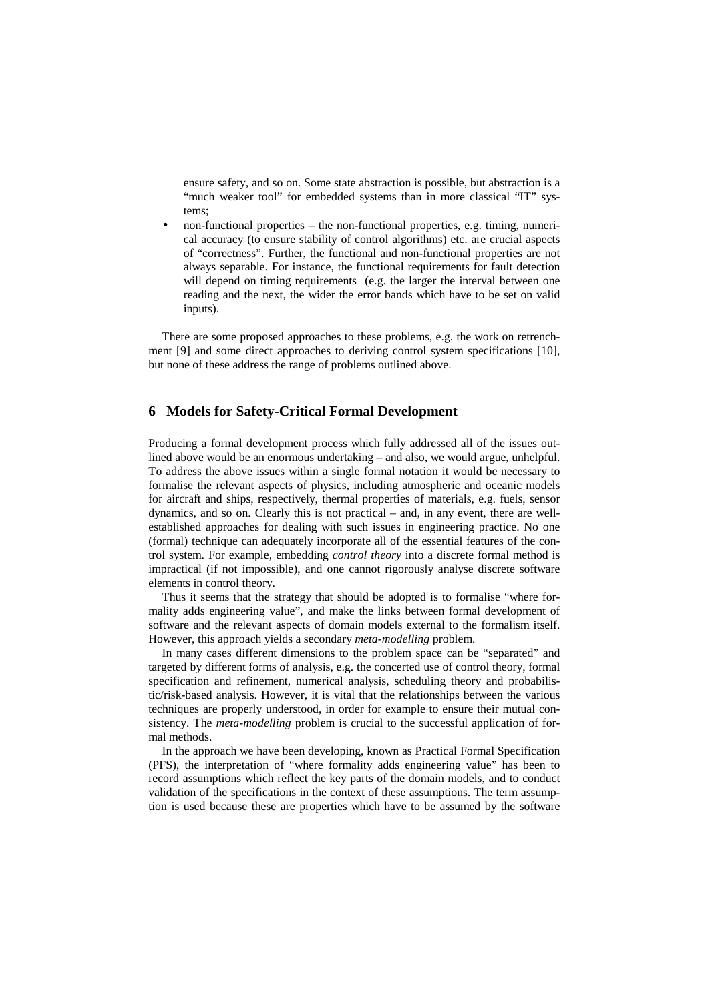ensure safety, and so on. Some state abstraction is possible, but abstraction is a "much weaker tool" for embedded systems than in more classical "IT" systems;

• non-functional properties – the non-functional properties, e.g. timing, numerical accuracy (to ensure stability of control algorithms) etc. are crucial aspects of "correctness". Further, the functional and non-functional properties are not always separable. For instance, the functional requirements for fault detection will depend on timing requirements (e.g. the larger the interval between one reading and the next, the wider the error bands which have to be set on valid inputs).

There are some proposed approaches to these problems, e.g. the work on retrenchment [9] and some direct approaches to deriving control system specifications [10], but none of these address the range of problems outlined above.

# **6 Models for Safety-Critical Formal Development**

Producing a formal development process which fully addressed all of the issues outlined above would be an enormous undertaking – and also, we would argue, unhelpful. To address the above issues within a single formal notation it would be necessary to formalise the relevant aspects of physics, including atmospheric and oceanic models for aircraft and ships, respectively, thermal properties of materials, e.g. fuels, sensor dynamics, and so on. Clearly this is not practical – and, in any event, there are wellestablished approaches for dealing with such issues in engineering practice. No one (formal) technique can adequately incorporate all of the essential features of the control system. For example, embedding *control theory* into a discrete formal method is impractical (if not impossible), and one cannot rigorously analyse discrete software elements in control theory.

Thus it seems that the strategy that should be adopted is to formalise "where formality adds engineering value", and make the links between formal development of software and the relevant aspects of domain models external to the formalism itself. However, this approach yields a secondary *meta-modelling* problem.

In many cases different dimensions to the problem space can be "separated" and targeted by different forms of analysis, e.g. the concerted use of control theory, formal specification and refinement, numerical analysis, scheduling theory and probabilistic/risk-based analysis. However, it is vital that the relationships between the various techniques are properly understood, in order for example to ensure their mutual consistency. The *meta-modelling* problem is crucial to the successful application of formal methods.

In the approach we have been developing, known as Practical Formal Specification (PFS), the interpretation of "where formality adds engineering value" has been to record assumptions which reflect the key parts of the domain models, and to conduct validation of the specifications in the context of these assumptions. The term assumption is used because these are properties which have to be assumed by the software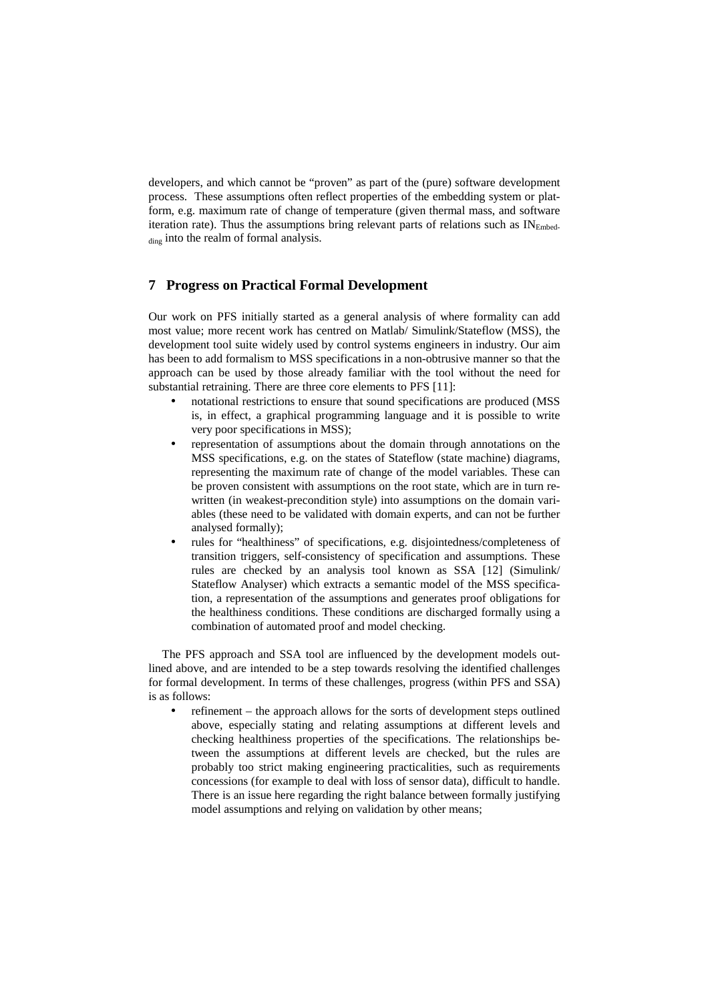developers, and which cannot be "proven" as part of the (pure) software development process. These assumptions often reflect properties of the embedding system or platform, e.g. maximum rate of change of temperature (given thermal mass, and software iteration rate). Thus the assumptions bring relevant parts of relations such as  $IN_{Embed}$ . ding into the realm of formal analysis.

# **7 Progress on Practical Formal Development**

Our work on PFS initially started as a general analysis of where formality can add most value; more recent work has centred on Matlab/ Simulink/Stateflow (MSS), the development tool suite widely used by control systems engineers in industry. Our aim has been to add formalism to MSS specifications in a non-obtrusive manner so that the approach can be used by those already familiar with the tool without the need for substantial retraining. There are three core elements to PFS [11]:

- notational restrictions to ensure that sound specifications are produced (MSS is, in effect, a graphical programming language and it is possible to write very poor specifications in MSS);
- representation of assumptions about the domain through annotations on the MSS specifications, e.g. on the states of Stateflow (state machine) diagrams, representing the maximum rate of change of the model variables. These can be proven consistent with assumptions on the root state, which are in turn rewritten (in weakest-precondition style) into assumptions on the domain variables (these need to be validated with domain experts, and can not be further analysed formally);
- rules for "healthiness" of specifications, e.g. disjointedness/completeness of transition triggers, self-consistency of specification and assumptions. These rules are checked by an analysis tool known as SSA [12] (Simulink/ Stateflow Analyser) which extracts a semantic model of the MSS specification, a representation of the assumptions and generates proof obligations for the healthiness conditions. These conditions are discharged formally using a combination of automated proof and model checking.

The PFS approach and SSA tool are influenced by the development models outlined above, and are intended to be a step towards resolving the identified challenges for formal development. In terms of these challenges, progress (within PFS and SSA) is as follows:

• refinement – the approach allows for the sorts of development steps outlined above, especially stating and relating assumptions at different levels and checking healthiness properties of the specifications. The relationships between the assumptions at different levels are checked, but the rules are probably too strict making engineering practicalities, such as requirements concessions (for example to deal with loss of sensor data), difficult to handle. There is an issue here regarding the right balance between formally justifying model assumptions and relying on validation by other means;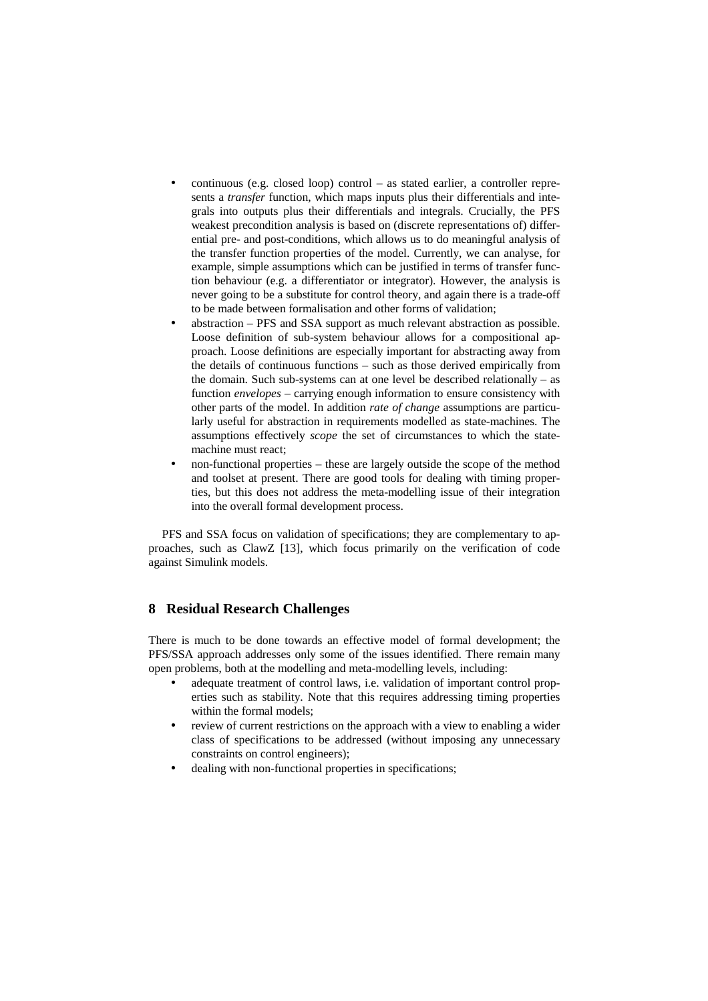- continuous (e.g. closed loop) control as stated earlier, a controller represents a *transfer* function, which maps inputs plus their differentials and integrals into outputs plus their differentials and integrals. Crucially, the PFS weakest precondition analysis is based on (discrete representations of) differential pre- and post-conditions, which allows us to do meaningful analysis of the transfer function properties of the model. Currently, we can analyse, for example, simple assumptions which can be justified in terms of transfer function behaviour (e.g. a differentiator or integrator). However, the analysis is never going to be a substitute for control theory, and again there is a trade-off to be made between formalisation and other forms of validation;
- abstraction PFS and SSA support as much relevant abstraction as possible. Loose definition of sub-system behaviour allows for a compositional approach. Loose definitions are especially important for abstracting away from the details of continuous functions – such as those derived empirically from the domain. Such sub-systems can at one level be described relationally – as function *envelopes* – carrying enough information to ensure consistency with other parts of the model. In addition *rate of change* assumptions are particularly useful for abstraction in requirements modelled as state-machines. The assumptions effectively *scope* the set of circumstances to which the statemachine must react;
- non-functional properties these are largely outside the scope of the method and toolset at present. There are good tools for dealing with timing properties, but this does not address the meta-modelling issue of their integration into the overall formal development process.

PFS and SSA focus on validation of specifications; they are complementary to approaches, such as ClawZ [13], which focus primarily on the verification of code against Simulink models.

# **8 Residual Research Challenges**

There is much to be done towards an effective model of formal development; the PFS/SSA approach addresses only some of the issues identified. There remain many open problems, both at the modelling and meta-modelling levels, including:

- adequate treatment of control laws, i.e. validation of important control properties such as stability. Note that this requires addressing timing properties within the formal models;
- review of current restrictions on the approach with a view to enabling a wider class of specifications to be addressed (without imposing any unnecessary constraints on control engineers);
- dealing with non-functional properties in specifications: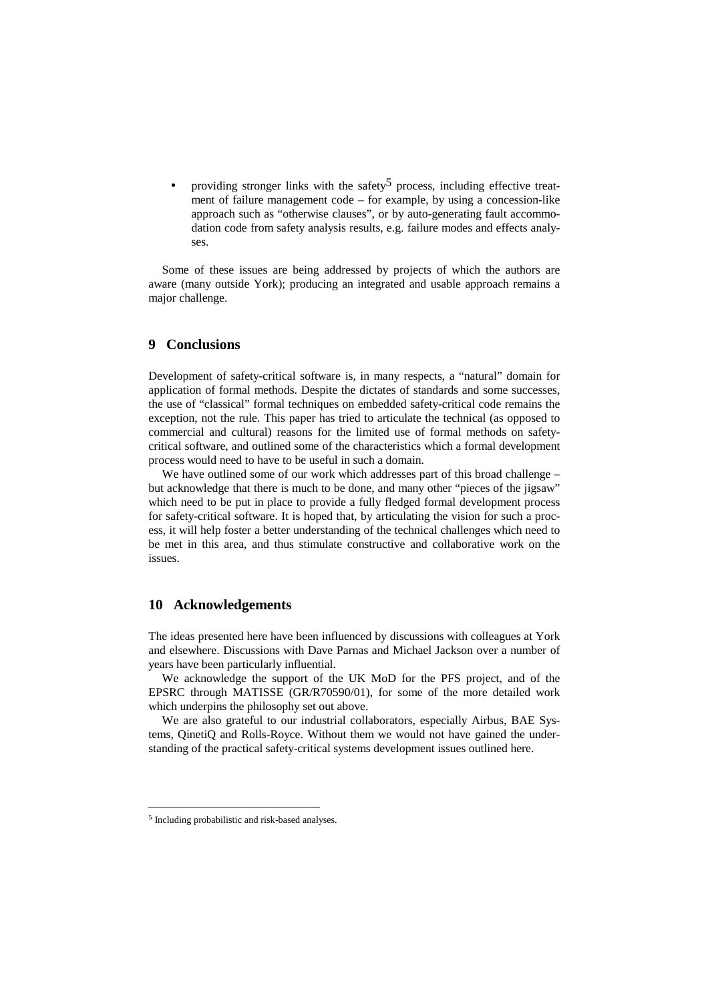• providing stronger links with the safety<sup>5</sup> process, including effective treatment of failure management code – for example, by using a concession-like approach such as "otherwise clauses", or by auto-generating fault accommodation code from safety analysis results, e.g. failure modes and effects analyses.

Some of these issues are being addressed by projects of which the authors are aware (many outside York); producing an integrated and usable approach remains a major challenge.

### **9 Conclusions**

Development of safety-critical software is, in many respects, a "natural" domain for application of formal methods. Despite the dictates of standards and some successes, the use of "classical" formal techniques on embedded safety-critical code remains the exception, not the rule. This paper has tried to articulate the technical (as opposed to commercial and cultural) reasons for the limited use of formal methods on safetycritical software, and outlined some of the characteristics which a formal development process would need to have to be useful in such a domain.

We have outlined some of our work which addresses part of this broad challenge – but acknowledge that there is much to be done, and many other "pieces of the jigsaw" which need to be put in place to provide a fully fledged formal development process for safety-critical software. It is hoped that, by articulating the vision for such a process, it will help foster a better understanding of the technical challenges which need to be met in this area, and thus stimulate constructive and collaborative work on the issues.

#### **10 Acknowledgements**

The ideas presented here have been influenced by discussions with colleagues at York and elsewhere. Discussions with Dave Parnas and Michael Jackson over a number of years have been particularly influential.

We acknowledge the support of the UK MoD for the PFS project, and of the EPSRC through MATISSE (GR/R70590/01), for some of the more detailed work which underpins the philosophy set out above.

We are also grateful to our industrial collaborators, especially Airbus, BAE Systems, QinetiQ and Rolls-Royce. Without them we would not have gained the understanding of the practical safety-critical systems development issues outlined here.

<sup>5</sup> Including probabilistic and risk-based analyses.